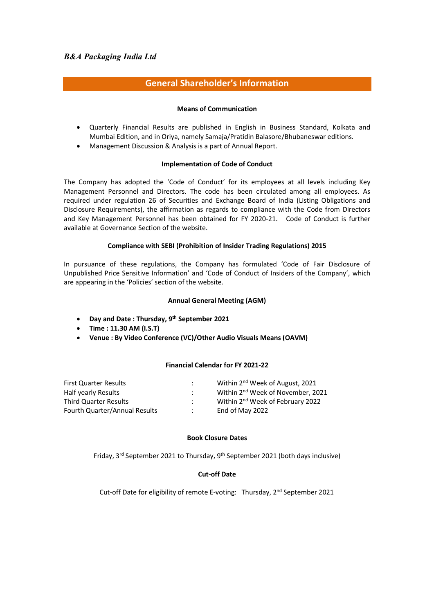# B&A Packaging India Ltd

# General Shareholder's Information

### Means of Communication

- Quarterly Financial Results are published in English in Business Standard, Kolkata and Mumbai Edition, and in Oriya, namely Samaja/Pratidin Balasore/Bhubaneswar editions.
- Management Discussion & Analysis is a part of Annual Report.

#### Implementation of Code of Conduct

The Company has adopted the 'Code of Conduct' for its employees at all levels including Key Management Personnel and Directors. The code has been circulated among all employees. As required under regulation 26 of Securities and Exchange Board of India (Listing Obligations and Disclosure Requirements), the affirmation as regards to compliance with the Code from Directors and Key Management Personnel has been obtained for FY 2020-21. Code of Conduct is further available at Governance Section of the website.

### Compliance with SEBI (Prohibition of Insider Trading Regulations) 2015

In pursuance of these regulations, the Company has formulated 'Code of Fair Disclosure of Unpublished Price Sensitive Information' and 'Code of Conduct of Insiders of the Company', which are appearing in the 'Policies' section of the website.

#### Annual General Meeting (AGM)

- Day and Date: Thursday, 9<sup>th</sup> September 2021
- Time : 11.30 AM (I.S.T)
- Venue : By Video Conference (VC)/Other Audio Visuals Means (OAVM)

#### Financial Calendar for FY 2021-22

| <b>First Quarter Results</b>  | ÷                    | Within 2 <sup>nd</sup> Week of August, 2021   |
|-------------------------------|----------------------|-----------------------------------------------|
| Half yearly Results           | ÷                    | Within 2 <sup>nd</sup> Week of November, 2021 |
| <b>Third Quarter Results</b>  | $\ddot{\phantom{a}}$ | Within 2 <sup>nd</sup> Week of February 2022  |
| Fourth Quarter/Annual Results | $\ddot{\phantom{a}}$ | End of May 2022                               |

#### Book Closure Dates

Friday, 3<sup>rd</sup> September 2021 to Thursday, 9<sup>th</sup> September 2021 (both days inclusive)

## Cut-off Date

Cut-off Date for eligibility of remote E-voting: Thursday, 2nd September 2021